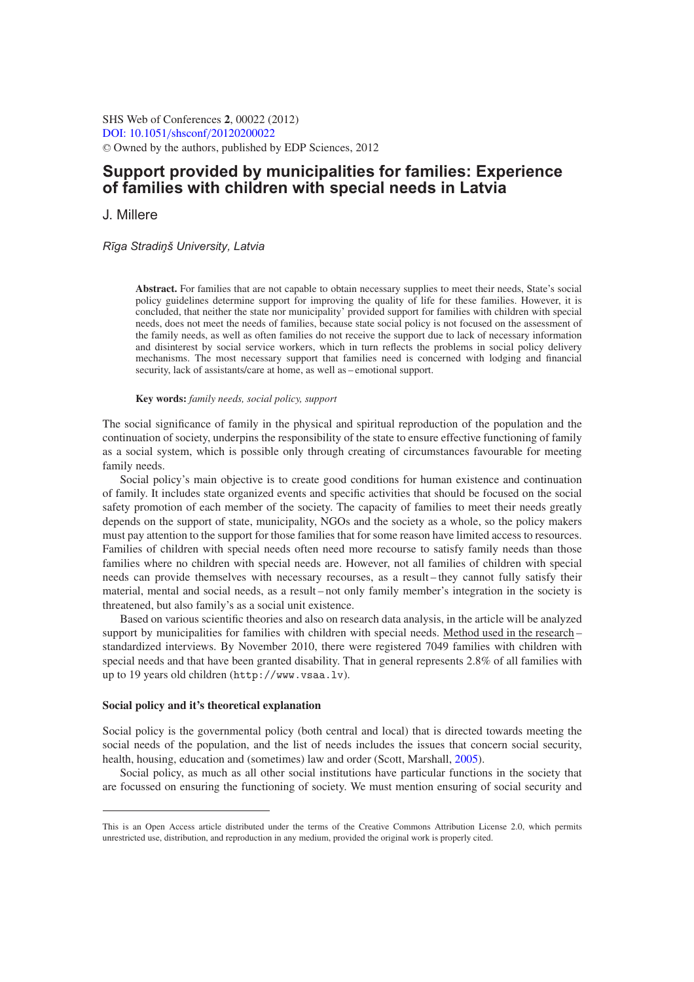SHS Web of Conferences **2**, 00022 (2012) [DOI: 10.1051](http://dx.doi.org/10.1051/shsconf/20120200022)/shsconf/20120200022 <sup>C</sup> Owned by the authors, published by EDP Sciences, 2012

# **Support provided by municipalities for families: Experience of families with children with special needs in Latvia**

J. Millere

*R¯ıga Stradin¸ š University, Latvia*

**Abstract.** For families that are not capable to obtain necessary supplies to meet their needs, State's social policy guidelines determine support for improving the quality of life for these families. However, it is concluded, that neither the state nor municipality' provided support for families with children with special needs, does not meet the needs of families, because state social policy is not focused on the assessment of the family needs, as well as often families do not receive the support due to lack of necessary information and disinterest by social service workers, which in turn reflects the problems in social policy delivery mechanisms. The most necessary support that families need is concerned with lodging and financial security, lack of assistants/care at home, as well as – emotional support.

**Key words:** *family needs, social policy, support*

The social significance of family in the physical and spiritual reproduction of the population and the continuation of society, underpins the responsibility of the state to ensure effective functioning of family as a social system, which is possible only through creating of circumstances favourable for meeting family needs.

Social policy's main objective is to create good conditions for human existence and continuation of family. It includes state organized events and specific activities that should be focused on the social safety promotion of each member of the society. The capacity of families to meet their needs greatly depends on the support of state, municipality, NGOs and the society as a whole, so the policy makers must pay attention to the support for those families that for some reason have limited access to resources. Families of children with special needs often need more recourse to satisfy family needs than those families where no children with special needs are. However, not all families of children with special needs can provide themselves with necessary recourses, as a result – they cannot fully satisfy their material, mental and social needs, as a result – not only family member's integration in the society is threatened, but also family's as a social unit existence.

Based on various scientific theories and also on research data analysis, in the article will be analyzed support by municipalities for families with children with special needs. Method used in the research – standardized interviews. By November 2010, there were registered 7049 families with children with special needs and that have been granted disability. That in general represents 2.8% of all families with up to 19 years old children (http://www.vsaa.lv).

#### **Social policy and it's theoretical explanation**

Social policy is the governmental policy (both central and local) that is directed towards meeting the social needs of the population, and the list of needs includes the issues that concern social security, health, housing, education and (sometimes) law and order (Scott, Marshall, [2005\)](#page-6-0).

Social policy, as much as all other social institutions have particular functions in the society that are focussed on ensuring the functioning of society. We must mention ensuring of social security and

This is an Open Access article distributed under the terms of the Creative Commons Attribution License 2.0, which permits unrestricted use, distribution, and reproduction in any medium, provided the original work is properly cited.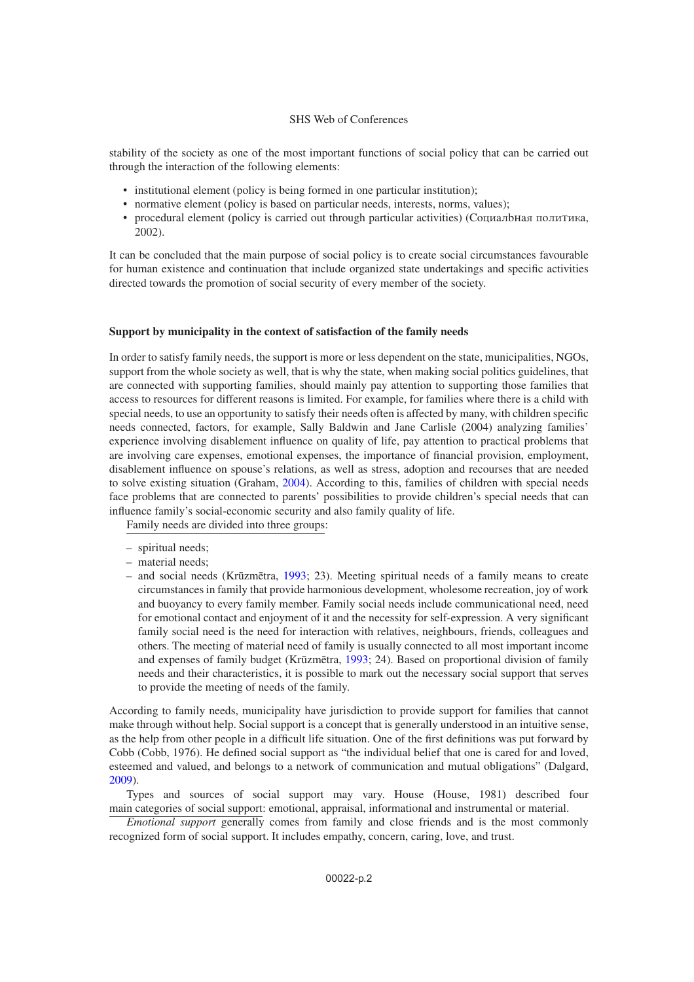# SHS Web of Conferences

stability of the society as one of the most important functions of social policy that can be carried out through the interaction of the following elements:

- institutional element (policy is being formed in one particular institution);
- normative element (policy is based on particular needs, interests, norms, values);
- procedural element (policy is carried out through particular activities) (Социальная политика, 2002).

It can be concluded that the main purpose of social policy is to create social circumstances favourable for human existence and continuation that include organized state undertakings and specific activities directed towards the promotion of social security of every member of the society.

# **Support by municipality in the context of satisfaction of the family needs**

In order to satisfy family needs, the support is more or less dependent on the state, municipalities, NGOs, support from the whole society as well, that is why the state, when making social politics guidelines, that are connected with supporting families, should mainly pay attention to supporting those families that access to resources for different reasons is limited. For example, for families where there is a child with special needs, to use an opportunity to satisfy their needs often is affected by many, with children specific needs connected, factors, for example, Sally Baldwin and Jane Carlisle (2004) analyzing families' experience involving disablement influence on quality of life, pay attention to practical problems that are involving care expenses, emotional expenses, the importance of financial provision, employment, disablement influence on spouse's relations, as well as stress, adoption and recourses that are needed to solve existing situation (Graham, [2004\)](#page-6-1). According to this, families of children with special needs face problems that are connected to parents' possibilities to provide children's special needs that can influence family's social-economic security and also family quality of life.

Family needs are divided into three groups:

- spiritual needs;
- material needs;
- $-$  and social needs (Krūzmētra, [1993;](#page-6-1) 23). Meeting spiritual needs of a family means to create circumstances in family that provide harmonious development, wholesome recreation, joy of work and buoyancy to every family member. Family social needs include communicational need, need for emotional contact and enjoyment of it and the necessity for self-expression. A very significant family social need is the need for interaction with relatives, neighbours, friends, colleagues and others. The meeting of material need of family is usually connected to all most important income and expenses of family budget (Krūzmētra, [1993;](#page-6-1) 24). Based on proportional division of family needs and their characteristics, it is possible to mark out the necessary social support that serves to provide the meeting of needs of the family.

According to family needs, municipality have jurisdiction to provide support for families that cannot make through without help. Social support is a concept that is generally understood in an intuitive sense, as the help from other people in a difficult life situation. One of the first definitions was put forward by Cobb (Cobb, 1976). He defined social support as "the individual belief that one is cared for and loved, esteemed and valued, and belongs to a network of communication and mutual obligations" (Dalgard, [2009\)](#page-6-2).

Types and sources of social support may vary. House (House, 1981) described four main categories of social support: emotional, appraisal, informational and instrumental or material.

*Emotional support* generally comes from family and close friends and is the most commonly recognized form of social support. It includes empathy, concern, caring, love, and trust.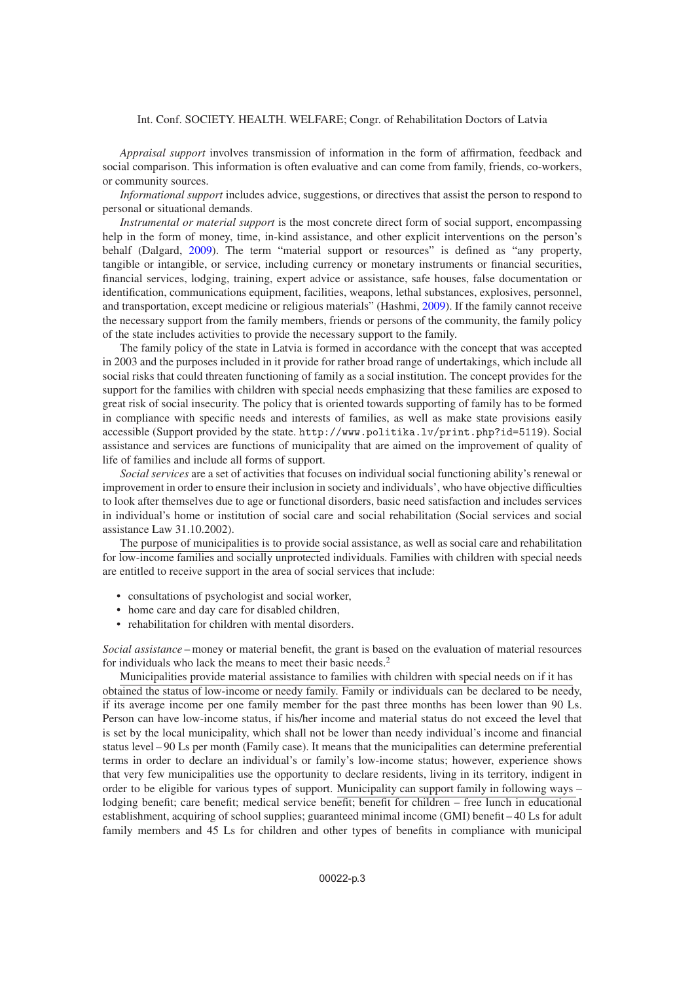### Int. Conf. SOCIETY. HEALTH. WELFARE; Congr. of Rehabilitation Doctors of Latvia

*Appraisal support* involves transmission of information in the form of affirmation, feedback and social comparison. This information is often evaluative and can come from family, friends, co-workers, or community sources.

*Informational support* includes advice, suggestions, or directives that assist the person to respond to personal or situational demands.

*Instrumental or material support* is the most concrete direct form of social support, encompassing help in the form of money, time, in-kind assistance, and other explicit interventions on the person's behalf (Dalgard, [2009\)](#page-6-2). The term "material support or resources" is defined as "any property, tangible or intangible, or service, including currency or monetary instruments or financial securities, financial services, lodging, training, expert advice or assistance, safe houses, false documentation or identification, communications equipment, facilities, weapons, lethal substances, explosives, personnel, and transportation, except medicine or religious materials" (Hashmi, [2009\)](#page-6-3). If the family cannot receive the necessary support from the family members, friends or persons of the community, the family policy of the state includes activities to provide the necessary support to the family.

The family policy of the state in Latvia is formed in accordance with the concept that was accepted in 2003 and the purposes included in it provide for rather broad range of undertakings, which include all social risks that could threaten functioning of family as a social institution. The concept provides for the support for the families with children with special needs emphasizing that these families are exposed to great risk of social insecurity. The policy that is oriented towards supporting of family has to be formed in compliance with specific needs and interests of families, as well as make state provisions easily accessible (Support provided by the state. http://www.politika.lv/print.php?id=5119). Social assistance and services are functions of municipality that are aimed on the improvement of quality of life of families and include all forms of support.

*Social services* are a set of activities that focuses on individual social functioning ability's renewal or improvement in order to ensure their inclusion in society and individuals', who have objective difficulties to look after themselves due to age or functional disorders, basic need satisfaction and includes services in individual's home or institution of social care and social rehabilitation (Social services and social assistance Law 31.10.2002).

The purpose of municipalities is to provide social assistance, as well as social care and rehabilitation for low-income families and socially unprotected individuals. Families with children with special needs are entitled to receive support in the area of social services that include:

- consultations of psychologist and social worker,
- home care and day care for disabled children,
- rehabilitation for children with mental disorders.

*Social assistance* – money or material benefit, the grant is based on the evaluation of material resources for individuals who lack the means to meet their basic needs.<sup>2</sup>

Municipalities provide material assistance to families with children with special needs on if it has obtained the status of low-income or needy family. Family or individuals can be declared to be needy, if its average income per one family member for the past three months has been lower than 90 Ls. Person can have low-income status, if his/her income and material status do not exceed the level that is set by the local municipality, which shall not be lower than needy individual's income and financial status level – 90 Ls per month (Family case). It means that the municipalities can determine preferential terms in order to declare an individual's or family's low-income status; however, experience shows that very few municipalities use the opportunity to declare residents, living in its territory, indigent in order to be eligible for various types of support. Municipality can support family in following ways – lodging benefit; care benefit; medical service benefit; benefit for children – free lunch in educational establishment, acquiring of school supplies; guaranteed minimal income (GMI) benefit – 40 Ls for adult family members and 45 Ls for children and other types of benefits in compliance with municipal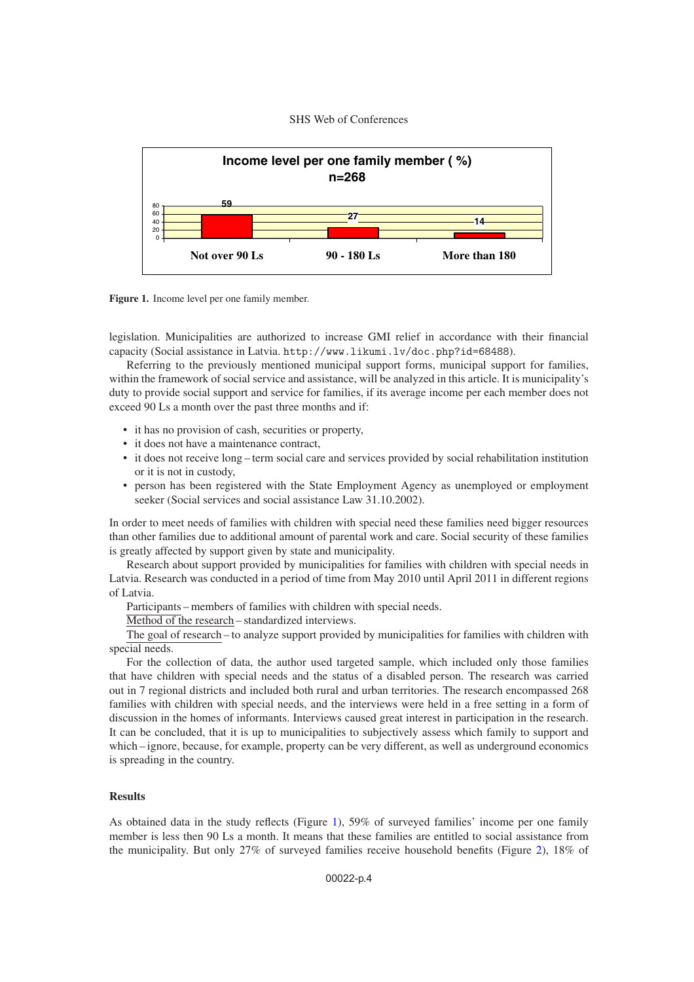

<span id="page-3-0"></span>

**Figure 1.** Income level per one family member.

legislation. Municipalities are authorized to increase GMI relief in accordance with their financial capacity (Social assistance in Latvia. http://www.likumi.lv/doc.php?id=68488).

Referring to the previously mentioned municipal support forms, municipal support for families, within the framework of social service and assistance, will be analyzed in this article. It is municipality's duty to provide social support and service for families, if its average income per each member does not exceed 90 Ls a month over the past three months and if:

- it has no provision of cash, securities or property,
- it does not have a maintenance contract,
- it does not receive long term social care and services provided by social rehabilitation institution or it is not in custody,
- person has been registered with the State Employment Agency as unemployed or employment seeker (Social services and social assistance Law 31.10.2002).

In order to meet needs of families with children with special need these families need bigger resources than other families due to additional amount of parental work and care. Social security of these families is greatly affected by support given by state and municipality.

Research about support provided by municipalities for families with children with special needs in Latvia. Research was conducted in a period of time from May 2010 until April 2011 in different regions of Latvia.

Participants – members of families with children with special needs.

Method of the research – standardized interviews.

The goal of research – to analyze support provided by municipalities for families with children with special needs.

For the collection of data, the author used targeted sample, which included only those families that have children with special needs and the status of a disabled person. The research was carried out in 7 regional districts and included both rural and urban territories. The research encompassed 268 families with children with special needs, and the interviews were held in a free setting in a form of discussion in the homes of informants. Interviews caused great interest in participation in the research. It can be concluded, that it is up to municipalities to subjectively assess which family to support and which – ignore, because, for example, property can be very different, as well as underground economics is spreading in the country.

# **Results**

As obtained data in the study reflects (Figure [1\)](#page-3-0), 59% of surveyed families' income per one family member is less then 90 Ls a month. It means that these families are entitled to social assistance from the municipality. But only 27% of surveyed families receive household benefits (Figure [2\)](#page-4-0), 18% of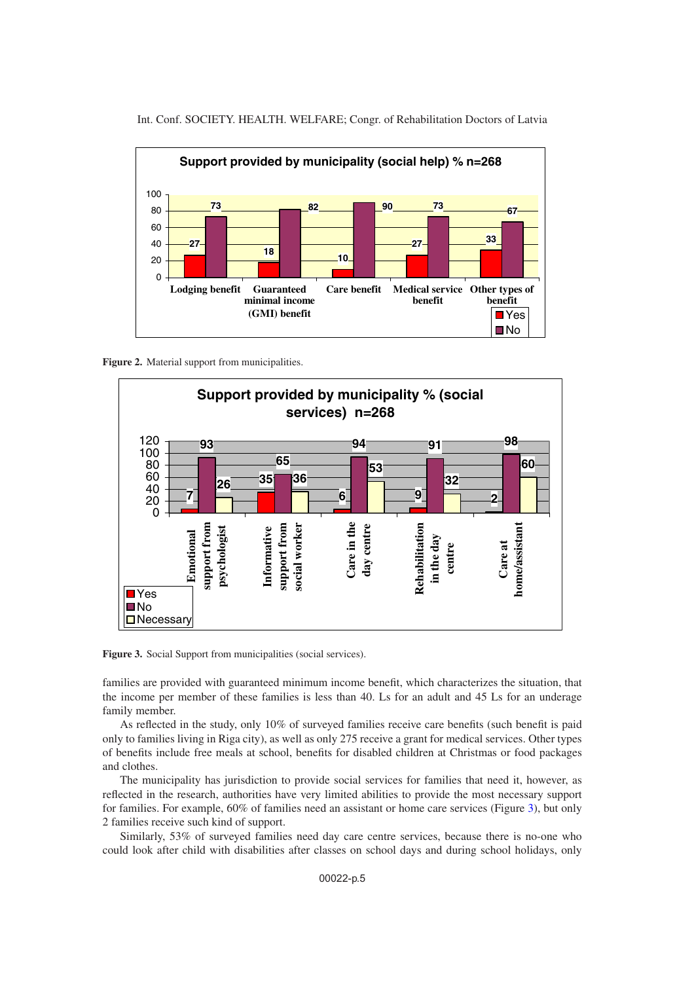<span id="page-4-0"></span>

Int. Conf. SOCIETY. HEALTH. WELFARE; Congr. of Rehabilitation Doctors of Latvia

<span id="page-4-1"></span>**Figure 2.** Material support from municipalities.



**Figure 3.** Social Support from municipalities (social services).

families are provided with guaranteed minimum income benefit, which characterizes the situation, that the income per member of these families is less than 40. Ls for an adult and 45 Ls for an underage family member.

As reflected in the study, only 10% of surveyed families receive care benefits (such benefit is paid only to families living in Riga city), as well as only 275 receive a grant for medical services. Other types of benefits include free meals at school, benefits for disabled children at Christmas or food packages and clothes.

The municipality has jurisdiction to provide social services for families that need it, however, as reflected in the research, authorities have very limited abilities to provide the most necessary support for families. For example, 60% of families need an assistant or home care services (Figure [3\)](#page-4-1), but only 2 families receive such kind of support.

Similarly, 53% of surveyed families need day care centre services, because there is no-one who could look after child with disabilities after classes on school days and during school holidays, only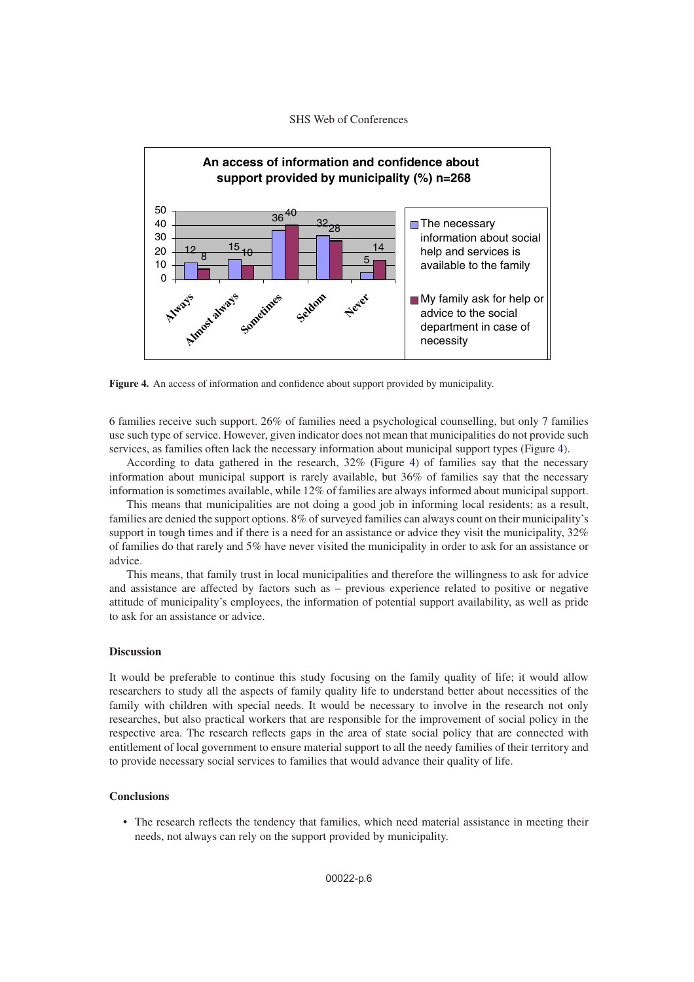#### SHS Web of Conferences

<span id="page-5-0"></span>

**Figure 4.** An access of information and confidence about support provided by municipality.

6 families receive such support. 26% of families need a psychological counselling, but only 7 families use such type of service. However, given indicator does not mean that municipalities do not provide such services, as families often lack the necessary information about municipal support types (Figure [4\)](#page-5-0).

According to data gathered in the research, 32% (Figure [4\)](#page-5-0) of families say that the necessary information about municipal support is rarely available, but 36% of families say that the necessary information is sometimes available, while 12% of families are always informed about municipal support.

This means that municipalities are not doing a good job in informing local residents; as a result, families are denied the support options. 8% of surveyed families can always count on their municipality's support in tough times and if there is a need for an assistance or advice they visit the municipality,  $32\%$ of families do that rarely and 5% have never visited the municipality in order to ask for an assistance or advice.

This means, that family trust in local municipalities and therefore the willingness to ask for advice and assistance are affected by factors such as – previous experience related to positive or negative attitude of municipality's employees, the information of potential support availability, as well as pride to ask for an assistance or advice.

# **Discussion**

It would be preferable to continue this study focusing on the family quality of life; it would allow researchers to study all the aspects of family quality life to understand better about necessities of the family with children with special needs. It would be necessary to involve in the research not only researches, but also practical workers that are responsible for the improvement of social policy in the respective area. The research reflects gaps in the area of state social policy that are connected with entitlement of local government to ensure material support to all the needy families of their territory and to provide necessary social services to families that would advance their quality of life.

# **Conclusions**

• The research reflects the tendency that families, which need material assistance in meeting their needs, not always can rely on the support provided by municipality.